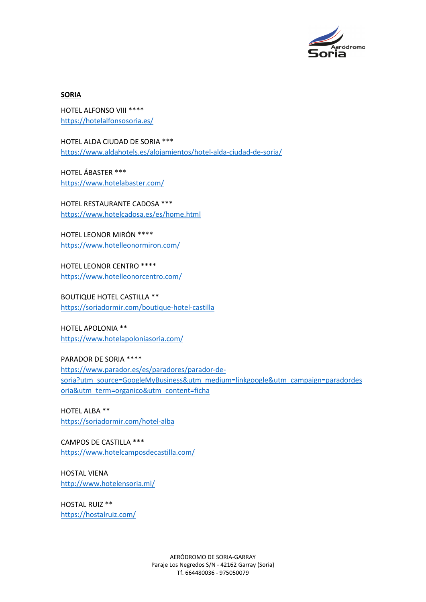

## **SORIA**

HOTEL ALFONSO VIII \*\*\*\* <https://hotelalfonsosoria.es/>

HOTEL ALDA CIUDAD DE SORIA \*\*\* <https://www.aldahotels.es/alojamientos/hotel-alda-ciudad-de-soria/>

HOTEL ÁBASTER \*\*\* <https://www.hotelabaster.com/>

HOTEL RESTAURANTE CADOSA \*\*\* <https://www.hotelcadosa.es/es/home.html>

HOTEL LEONOR MIRÓN \*\*\*\* <https://www.hotelleonormiron.com/>

HOTEL LEONOR CENTRO \*\*\*\* <https://www.hotelleonorcentro.com/>

BOUTIQUE HOTEL CASTILLA \*\* <https://soriadormir.com/boutique-hotel-castilla>

HOTEL APOLONIA \*\* <https://www.hotelapoloniasoria.com/>

PARADOR DE SORIA \*\*\*\* [https://www.parador.es/es/paradores/parador-de](https://www.parador.es/es/paradores/parador-de-soria?utm_source=GoogleMyBusiness&utm_medium=linkgoogle&utm_campaign=paradordesoria&utm_term=organico&utm_content=ficha)[soria?utm\\_source=GoogleMyBusiness&utm\\_medium=linkgoogle&utm\\_campaign=paradordes](https://www.parador.es/es/paradores/parador-de-soria?utm_source=GoogleMyBusiness&utm_medium=linkgoogle&utm_campaign=paradordesoria&utm_term=organico&utm_content=ficha) [oria&utm\\_term=organico&utm\\_content=ficha](https://www.parador.es/es/paradores/parador-de-soria?utm_source=GoogleMyBusiness&utm_medium=linkgoogle&utm_campaign=paradordesoria&utm_term=organico&utm_content=ficha)

HOTEL ALBA \*\* <https://soriadormir.com/hotel-alba>

CAMPOS DE CASTILLA \*\*\* <https://www.hotelcamposdecastilla.com/>

HOSTAL VIENA <http://www.hotelensoria.ml/>

HOSTAL RUIZ \*\* <https://hostalruiz.com/>

> AERÓDROMO DE SORIA-GARRAY Paraje Los Negredos S/N - 42162 Garray (Soria) Tf. 664480036 - 975050079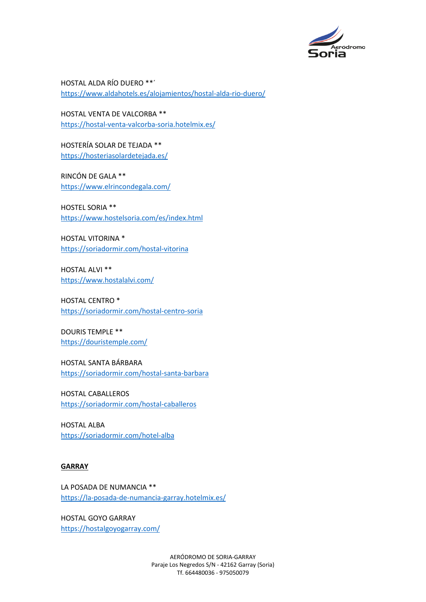

HOSTAL ALDA RÍO DUERO \*\*´ <https://www.aldahotels.es/alojamientos/hostal-alda-rio-duero/>

HOSTAL VENTA DE VALCORBA \*\* <https://hostal-venta-valcorba-soria.hotelmix.es/>

HOSTERÍA SOLAR DE TEJADA \*\* <https://hosteriasolardetejada.es/>

RINCÓN DE GALA \*\* <https://www.elrincondegala.com/>

HOSTEL SORIA \*\* <https://www.hostelsoria.com/es/index.html>

HOSTAL VITORINA \* <https://soriadormir.com/hostal-vitorina>

HOSTAL ALVI \*\* <https://www.hostalalvi.com/>

HOSTAL CENTRO \* <https://soriadormir.com/hostal-centro-soria>

DOURIS TEMPLE \*\* <https://douristemple.com/>

HOSTAL SANTA BÁRBARA <https://soriadormir.com/hostal-santa-barbara>

HOSTAL CABALLEROS <https://soriadormir.com/hostal-caballeros>

HOSTAL ALBA <https://soriadormir.com/hotel-alba>

## **GARRAY**

LA POSADA DE NUMANCIA \*\* <https://la-posada-de-numancia-garray.hotelmix.es/>

HOSTAL GOYO GARRAY <https://hostalgoyogarray.com/>

> AERÓDROMO DE SORIA-GARRAY Paraje Los Negredos S/N - 42162 Garray (Soria) Tf. 664480036 - 975050079